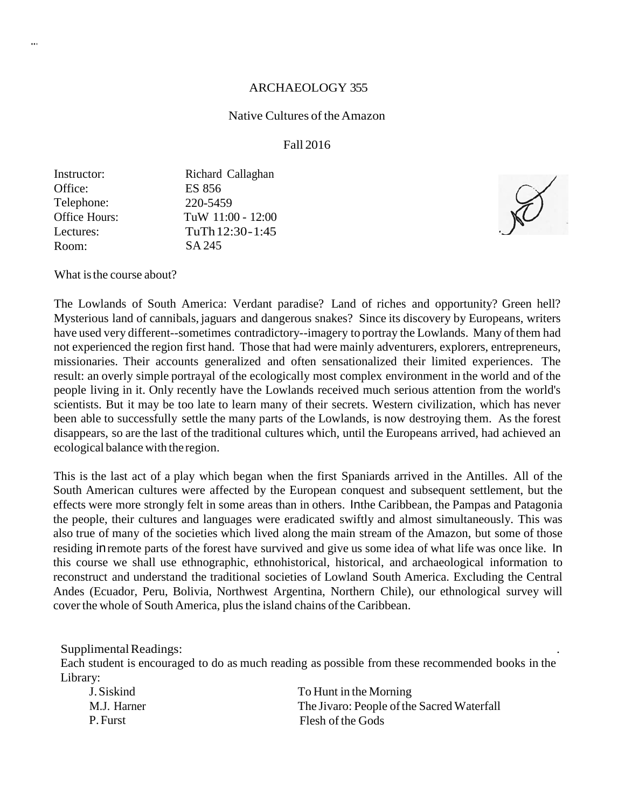#### ARCHAEOLOGY 355

#### Native Cultures of theAmazon

#### Fall 2016

| Richard Callaghan |
|-------------------|
| <b>ES 856</b>     |
| 220-5459          |
| TuW 11:00 - 12:00 |
| TuTh 12:30-1:45   |
| SA 245            |
|                   |

What is the course about?

The Lowlands of South America: Verdant paradise? Land of riches and opportunity? Green hell? Mysterious land of cannibals, jaguars and dangerous snakes? Since its discovery by Europeans, writers have used very different--sometimes contradictory--imagery to portray the Lowlands. Many of them had not experienced the region first hand. Those that had were mainly adventurers, explorers, entrepreneurs, missionaries. Their accounts generalized and often sensationalized their limited experiences. The result: an overly simple portrayal of the ecologically most complex environment in the world and of the people living in it. Only recently have the Lowlands received much serious attention from the world's scientists. But it may be too late to learn many of their secrets. Western civilization, which has never been able to successfully settle the many parts of the Lowlands, is now destroying them. As the forest disappears, so are the last of the traditional cultures which, until the Europeans arrived, had achieved an ecological balance with the region.

This is the last act of a play which began when the first Spaniards arrived in the Antilles. All of the South American cultures were affected by the European conquest and subsequent settlement, but the effects were more strongly felt in some areas than in others. Inthe Caribbean, the Pampas and Patagonia the people, their cultures and languages were eradicated swiftly and almost simultaneously. This was also true of many of the societies which lived along the main stream of the Amazon, but some of those residing inremote parts of the forest have survived and give us some idea of what life was once like. In this course we shall use ethnographic, ethnohistorical, historical, and archaeological information to reconstruct and understand the traditional societies of Lowland South America. Excluding the Central Andes (Ecuador, Peru, Bolivia, Northwest Argentina, Northern Chile), our ethnological survey will cover the whole of South America, plus the island chains of the Caribbean.

Supplimental Readings:

Each student is encouraged to do as much reading as possible from these recommended books in the Library:

| To Hunt in the Morning                     |
|--------------------------------------------|
| The Jivaro: People of the Sacred Waterfall |
| Flesh of the Gods                          |
|                                            |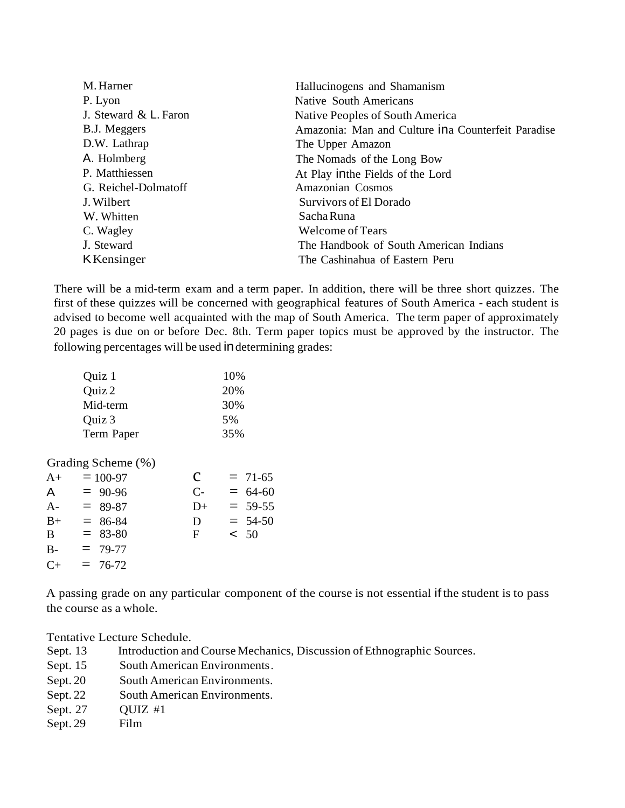| M. Harner             | Hallucinogens and Shamanism                         |
|-----------------------|-----------------------------------------------------|
| P. Lyon               | Native South Americans                              |
| J. Steward & L. Faron | Native Peoples of South America                     |
| B.J. Meggers          | Amazonia: Man and Culture in a Counterfeit Paradise |
| D.W. Lathrap          | The Upper Amazon                                    |
| A. Holmberg           | The Nomads of the Long Bow                          |
| P. Matthiessen        | At Play in the Fields of the Lord                   |
| G. Reichel-Dolmatoff  | Amazonian Cosmos                                    |
| J. Wilbert            | Survivors of El Dorado                              |
| W. Whitten            | Sacha Runa                                          |
| C. Wagley             | Welcome of Tears                                    |
| J. Steward            | The Handbook of South American Indians              |
| KKensinger            | The Cashinahua of Eastern Peru                      |

There will be a mid-term exam and a term paper. In addition, there will be three short quizzes. The first of these quizzes will be concerned with geographical features of South America - each student is advised to become well acquainted with the map of South America. The term paper of approximately 20 pages is due on or before Dec. 8th. Term paper topics must be approved by the instructor. The following percentages will be used indetermining grades:

| Quiz 1     | 10% |
|------------|-----|
| Quiz 2     | 20% |
| Mid-term   | 30% |
| Quiz 3     | 5%  |
| Term Paper | 35% |

Grading Scheme (%)

| $A+$  | $= 100 - 97$ | C    | $= 71-65$ |
|-------|--------------|------|-----------|
| A     | $= 90-96$    | $C-$ | $= 64-60$ |
| $A -$ | $= 89-87$    | $D+$ | $= 59-55$ |
| $B+$  | $= 86-84$    | D    | $= 54-50$ |
| B     | $=$ 83-80    | F    | $\leq 50$ |
| $B -$ | $= 79-77$    |      |           |
| $C+$  | $= 76-72$    |      |           |
|       |              |      |           |

A passing grade on any particular component of the course is not essential ifthe student is to pass the course as a whole.

Tentative Lecture Schedule.

- Sept. 13 Introduction and Course Mechanics, Discussion of Ethnographic Sources.
- Sept. 15 South American Environments.
- Sept. 20 South American Environments.
- Sept. 22 South American Environments.
- Sept. 27 QUIZ #1
- Sept. 29 Film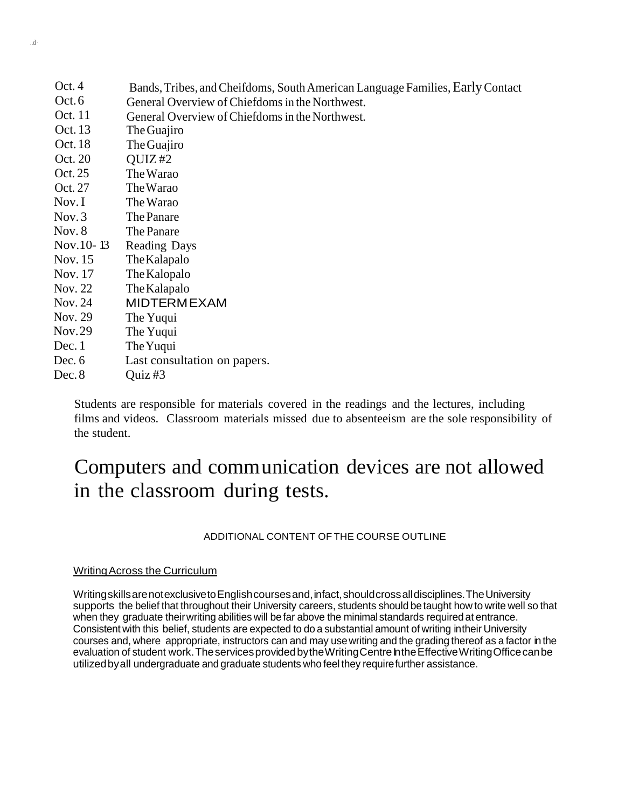| Oct. 4    | Bands, Tribes, and Cheifdoms, South American Language Families, Early Contact |
|-----------|-------------------------------------------------------------------------------|
| Oct.6     | General Overview of Chiefdoms in the Northwest.                               |
| Oct. 11   | General Overview of Chiefdoms in the Northwest.                               |
| Oct. 13   | The Guajiro                                                                   |
| Oct. 18   | The Guajiro                                                                   |
| Oct. 20   | OUTZ #2                                                                       |
| Oct. 25   | The Warao                                                                     |
| Oct. 27   | The Warao                                                                     |
| Nov. I    | The Warao                                                                     |
| Nov.3     | The Panare                                                                    |
| Nov. 8    | The Panare                                                                    |
| Nov.10-13 | <b>Reading Days</b>                                                           |
| Nov. 15   | The Kalapalo                                                                  |
| Nov. 17   | The Kalopalo                                                                  |
| Nov. 22   | The Kalapalo                                                                  |
| Nov. 24   | <b>MIDTERMEXAM</b>                                                            |
| Nov. 29   | The Yuqui                                                                     |
| Nov.29    | The Yuqui                                                                     |
| Dec. 1    | The Yuqui                                                                     |
| Dec. $6$  | Last consultation on papers.                                                  |
| Dec.8     | $\overline{\mathrm{Quiz}}$ #3                                                 |

Students are responsible for materials covered in the readings and the lectures, including films and videos. Classroom materials missed due to absenteeism are the sole responsibility of the student.

# Computers and communication devices are not allowed in the classroom during tests.

## ADDITIONAL CONTENT OF THE COURSE OUTLINE

#### WritingAcross the Curriculum

WritingskillsarenotexclusivetoEnglishcoursesand,infact,shouldcrossalldisciplines.TheUniversity supports the belief that throughout their University careers, students should be taught how to write well so that when they graduate theirwriting abilities will be far above the minimal standards required at entrance. Consistent with this belief, students are expected to do a substantial amount of writing intheir University courses and, where appropriate, instructors can and may usewriting and the grading thereof as a factor in the evaluation of student work. The services provided by the Writing Centre In the Effective Writing Office can be utilizedbyall undergraduate and graduate students who feel they requirefurther assistance.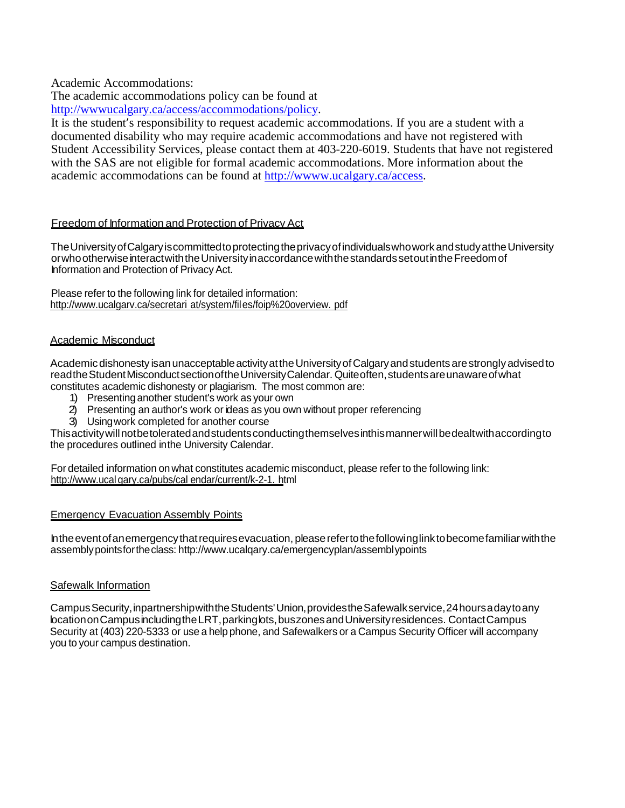Academic Accommodations:

The academic accommodations policy can be found at

[http://wwwucalgary.ca/access/accommodations/policy.](http://wwwucalgary.ca/access/accommodations/policy)

It is the student's responsibility to request academic accommodations. If you are a student with a documented disability who may require academic accommodations and have not registered with Student Accessibility Services, please contact them at 403-220-6019. Students that have not registered with the SAS are not eligible for formal academic accommodations. More information about the academic accommodations can be found at [http://wwww.ucalgary.ca/access.](http://wwww.ucalgary.ca/access)

#### Freedom of Information and Protection of Privacy Act

The University of Calgary is committed to protecting the privacy of individuals who work and study at the University orwhootherwiseinteractwiththeUniversityinaccordancewiththestandardssetoutintheFreedomof Information and Protection of PrivacyAct.

Please refer to the following link for detailed information: <http://www.ucalgarv.ca/secretari> at/system/files/foip%20overview. pdf

#### Academic Misconduct

Academic dishonesty isan unacceptable activity at the University of Calgary and students are strongly advised to readthe Student Misconduct section of the University Calendar. Quite often, students are unaware of what constitutes academic dishonesty or plagiarism. The most common are:

- 1) Presentinganother student's work as your own
- 2) Presenting an author's work or ideas as you own without proper referencing
- 3) Usingwork completed for another course

Thisactivitywillnotbetoleratedandstudentsconductingthemselvesinthismannerwillbedealtwithaccordingto the procedures outlined inthe University Calendar.

For detailed information onwhat constitutes academic misconduct, please refer to the following link: http://www.ucal gary.ca/pubs/cal endar/current/k-2-1. html

#### **Emergency Evacuation Assembly Points**

Intheeventofanemergencythatrequiresevacuation, pleaserefertothefollowinglinktobecomefamiliarwiththe assemblypointsfortheclass: [http://www.ucalqary.ca/emergencyplan/assembly](http://www.ucalqary.ca/emergencyplan/assembl)points

#### Safewalk Information

CampusSecurity,inpartnershipwiththeStudents'Union,providestheSafewalkservice,24hoursadaytoany locationonCampusincludingtheLRT,parkinglots,buszonesandUniversityresidences. ContactCampus Security at (403) 220-5333 or use a help phone, and Safewalkers or a Campus Security Officer will accompany you to your campus destination.